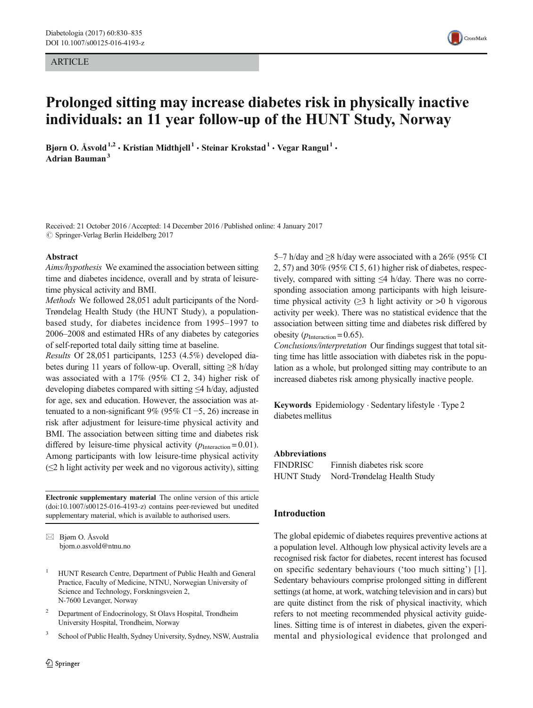#### ARTICLE



# Prolonged sitting may increase diabetes risk in physically inactive individuals: an 11 year follow-up of the HUNT Study, Norway

Bjørn O. Åsvold<sup>1,2</sup> • Kristian Midthjell<sup>1</sup> • Steinar Krokstad<sup>1</sup> • Vegar Rangul<sup>1</sup> • Adrian Bauman<sup>3</sup>

Received: 21 October 2016 /Accepted: 14 December 2016 /Published online: 4 January 2017  $\oslash$  Springer-Verlag Berlin Heidelberg 2017

#### Abstract

Aims/hypothesis We examined the association between sitting time and diabetes incidence, overall and by strata of leisuretime physical activity and BMI.

Methods We followed 28,051 adult participants of the Nord-Trøndelag Health Study (the HUNT Study), a populationbased study, for diabetes incidence from 1995–1997 to 2006–2008 and estimated HRs of any diabetes by categories of self-reported total daily sitting time at baseline.

Results Of 28,051 participants, 1253 (4.5%) developed diabetes during 11 years of follow-up. Overall, sitting ≥8 h/day was associated with a 17% (95% CI 2, 34) higher risk of developing diabetes compared with sitting ≤4 h/day, adjusted for age, sex and education. However, the association was attenuated to a non-significant 9% (95% CI –5, 26) increase in risk after adjustment for leisure-time physical activity and BMI. The association between sitting time and diabetes risk differed by leisure-time physical activity  $(p_{\text{Interaction}} = 0.01)$ . Among participants with low leisure-time physical activity  $(\leq 2$  h light activity per week and no vigorous activity), sitting

Electronic supplementary material The online version of this article (doi[:10.1007/s00125-016-4193-z\)](http://dx.doi.org/10.1007/s00125-016-4193-z) contains peer-reviewed but unedited supplementary material, which is available to authorised users.

 $\boxtimes$  Bjørn O. Åsvold bjorn.o.asvold@ntnu.no

- <sup>1</sup> HUNT Research Centre, Department of Public Health and General Practice, Faculty of Medicine, NTNU, Norwegian University of Science and Technology, Forskningsveien 2, N-7600 Levanger, Norway
- <sup>2</sup> Department of Endocrinology, St Olavs Hospital, Trondheim University Hospital, Trondheim, Norway
- <sup>3</sup> School of Public Health, Sydney University, Sydney, NSW, Australia

5–7 h/day and  $\geq$ 8 h/day were associated with a 26% (95% CI 2, 57) and 30% (95% CI 5, 61) higher risk of diabetes, respectively, compared with sitting ≤4 h/day. There was no corresponding association among participants with high leisuretime physical activity  $(\geq)$  h light activity or  $>0$  h vigorous activity per week). There was no statistical evidence that the association between sitting time and diabetes risk differed by obesity ( $p_{\text{Interaction}} = 0.65$ ).

Conclusions/interpretation Our findings suggest that total sitting time has little association with diabetes risk in the population as a whole, but prolonged sitting may contribute to an increased diabetes risk among physically inactive people.

Keywords Epidemiology . Sedentary lifestyle . Type 2 diabetes mellitus

#### Abbreviations

FINDRISC Finnish diabetes risk score HUNT Study Nord-Trøndelag Health Study

## Introduction

The global epidemic of diabetes requires preventive actions at a population level. Although low physical activity levels are a recognised risk factor for diabetes, recent interest has focused on specific sedentary behaviours ('too much sitting') [\[1](#page-5-0)]. Sedentary behaviours comprise prolonged sitting in different settings (at home, at work, watching television and in cars) but are quite distinct from the risk of physical inactivity, which refers to not meeting recommended physical activity guidelines. Sitting time is of interest in diabetes, given the experimental and physiological evidence that prolonged and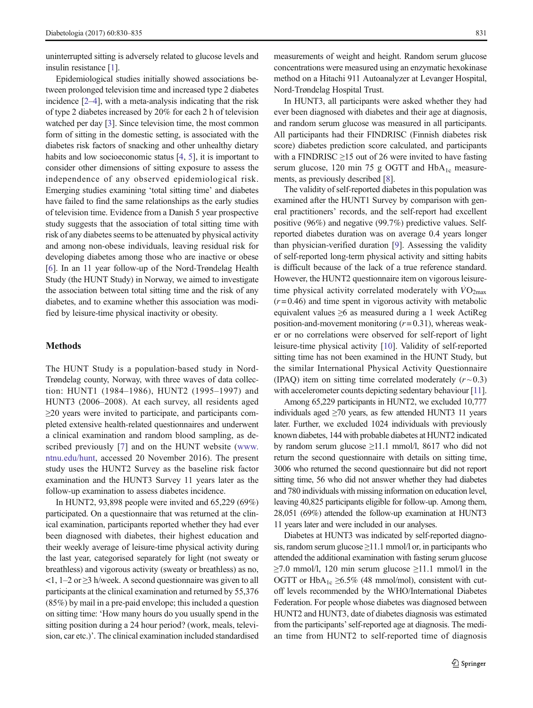uninterrupted sitting is adversely related to glucose levels and insulin resistance [[1](#page-5-0)].

Epidemiological studies initially showed associations between prolonged television time and increased type 2 diabetes incidence [\[2](#page-5-0)–[4\]](#page-5-0), with a meta-analysis indicating that the risk of type 2 diabetes increased by 20% for each 2 h of television watched per day [\[3](#page-5-0)]. Since television time, the most common form of sitting in the domestic setting, is associated with the diabetes risk factors of snacking and other unhealthy dietary habits and low socioeconomic status [\[4](#page-5-0), [5](#page-5-0)], it is important to consider other dimensions of sitting exposure to assess the independence of any observed epidemiological risk. Emerging studies examining 'total sitting time' and diabetes have failed to find the same relationships as the early studies of television time. Evidence from a Danish 5 year prospective study suggests that the association of total sitting time with risk of any diabetes seems to be attenuated by physical activity and among non-obese individuals, leaving residual risk for developing diabetes among those who are inactive or obese [\[6](#page-5-0)]. In an 11 year follow-up of the Nord-Trøndelag Health Study (the HUNT Study) in Norway, we aimed to investigate the association between total sitting time and the risk of any diabetes, and to examine whether this association was modified by leisure-time physical inactivity or obesity.

## Methods

The HUNT Study is a population-based study in Nord-Trøndelag county, Norway, with three waves of data collection: HUNT1 (1984–1986), HUNT2 (1995–1997) and HUNT3 (2006–2008). At each survey, all residents aged ≥20 years were invited to participate, and participants completed extensive health-related questionnaires and underwent a clinical examination and random blood sampling, as described previously [\[7\]](#page-5-0) and on the HUNT website [\(www.](http://www.ntnu.edu/hunt) [ntnu.edu/hunt](http://www.ntnu.edu/hunt), accessed 20 November 2016). The present study uses the HUNT2 Survey as the baseline risk factor examination and the HUNT3 Survey 11 years later as the follow-up examination to assess diabetes incidence.

In HUNT2, 93,898 people were invited and 65,229 (69%) participated. On a questionnaire that was returned at the clinical examination, participants reported whether they had ever been diagnosed with diabetes, their highest education and their weekly average of leisure-time physical activity during the last year, categorised separately for light (not sweaty or breathless) and vigorous activity (sweaty or breathless) as no,  $\langle 1, 1-2 \text{ or } \geq 3 \text{ h/week}$ . A second questionnaire was given to all participants at the clinical examination and returned by 55,376 (85%) by mail in a pre-paid envelope; this included a question on sitting time: 'How many hours do you usually spend in the sitting position during a 24 hour period? (work, meals, television, car etc.)'. The clinical examination included standardised measurements of weight and height. Random serum glucose concentrations were measured using an enzymatic hexokinase method on a Hitachi 911 Autoanalyzer at Levanger Hospital, Nord-Trøndelag Hospital Trust.

In HUNT3, all participants were asked whether they had ever been diagnosed with diabetes and their age at diagnosis, and random serum glucose was measured in all participants. All participants had their FINDRISC (Finnish diabetes risk score) diabetes prediction score calculated, and participants with a FINDRISC  $\geq$ 15 out of 26 were invited to have fasting serum glucose, 120 min 75 g OGTT and  $HbA_{1c}$  measurements, as previously described [\[8](#page-5-0)].

The validity of self-reported diabetes in this population was examined after the HUNT1 Survey by comparison with general practitioners' records, and the self-report had excellent positive (96%) and negative (99.7%) predictive values. Selfreported diabetes duration was on average 0.4 years longer than physician-verified duration [\[9](#page-5-0)]. Assessing the validity of self-reported long-term physical activity and sitting habits is difficult because of the lack of a true reference standard. However, the HUNT2 questionnaire item on vigorous leisuretime physical activity correlated moderately with  $\dot{V}O_{2\text{max}}$  $(r=0.46)$  and time spent in vigorous activity with metabolic equivalent values  $\geq 6$  as measured during a 1 week Actikeg position-and-movement monitoring  $(r=0.31)$ , whereas weaker or no correlations were observed for self-report of light leisure-time physical activity [[10\]](#page-5-0). Validity of self-reported sitting time has not been examined in the HUNT Study, but the similar International Physical Activity Questionnaire (IPAQ) item on sitting time correlated moderately  $(r \sim 0.3)$ with accelerometer counts depicting sedentary behaviour [\[11\]](#page-5-0).

Among 65,229 participants in HUNT2, we excluded 10,777 individuals aged  $\geq$ 70 years, as few attended HUNT3 11 years later. Further, we excluded 1024 individuals with previously known diabetes, 144 with probable diabetes at HUNT2 indicated by random serum glucose  $\geq$ 11.1 mmol/l, 8617 who did not return the second questionnaire with details on sitting time, 3006 who returned the second questionnaire but did not report sitting time, 56 who did not answer whether they had diabetes and 780 individuals with missing information on education level, leaving 40,825 participants eligible for follow-up. Among them, 28,051 (69%) attended the follow-up examination at HUNT3 11 years later and were included in our analyses.

Diabetes at HUNT3 was indicated by self-reported diagnosis, random serum glucose  $\geq$ 11.1 mmol/l or, in participants who attended the additional examination with fasting serum glucose  $\geq$ 7.0 mmol/l, 120 min serum glucose  $\geq$ 11.1 mmol/l in the OGTT or  $HbA_{1c} \geq 6.5\%$  (48 mmol/mol), consistent with cutoff levels recommended by the WHO/International Diabetes Federation. For people whose diabetes was diagnosed between HUNT2 and HUNT3, date of diabetes diagnosis was estimated from the participants'self-reported age at diagnosis. The median time from HUNT2 to self-reported time of diagnosis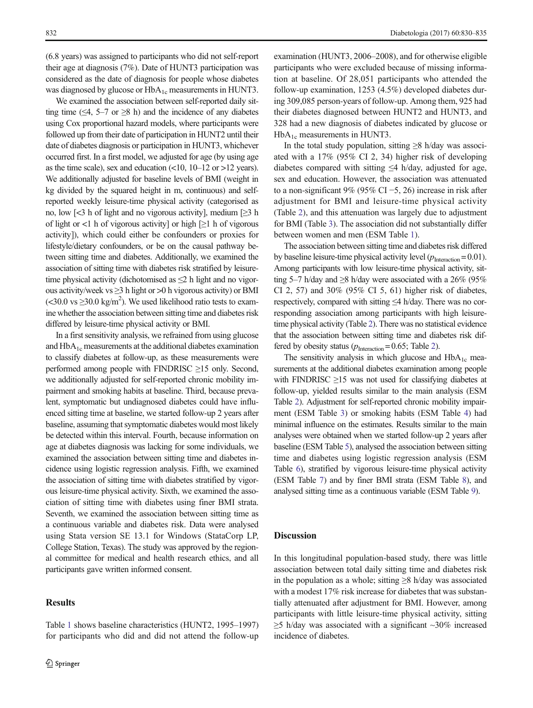(6.8 years) was assigned to participants who did not self-report their age at diagnosis (7%). Date of HUNT3 participation was considered as the date of diagnosis for people whose diabetes was diagnosed by glucose or HbA<sub>1c</sub> measurements in HUNT3.

We examined the association between self-reported daily sitting time ( $\leq$ 4, 5–7 or  $\geq$ 8 h) and the incidence of any diabetes using Cox proportional hazard models, where participants were followed up from their date of participation in HUNT2 until their date of diabetes diagnosis or participation in HUNT3, whichever occurred first. In a first model, we adjusted for age (by using age as the time scale), sex and education  $(10, 10-12 \text{ or } >12 \text{ years}).$ We additionally adjusted for baseline levels of BMI (weight in kg divided by the squared height in m, continuous) and selfreported weekly leisure-time physical activity (categorised as no, low  $\leq$ 3 h of light and no vigorous activity], medium  $\geq$ 3 h of light or <1 h of vigorous activity] or high  $[\geq] 1$  h of vigorous activity]), which could either be confounders or proxies for lifestyle/dietary confounders, or be on the causal pathway between sitting time and diabetes. Additionally, we examined the association of sitting time with diabetes risk stratified by leisuretime physical activity (dichotomised as  $\leq 2$  h light and no vigorous activity/week vs  $\geq$ 3 h light or  $>$ 0 h vigorous activity) or BMI  $\approx$  20.0 vs  $\geq$ 30.0 kg/m<sup>2</sup>). We used likelihood ratio tests to examine whether the association between sitting time and diabetes risk differed by leisure-time physical activity or BMI.

In a first sensitivity analysis, we refrained from using glucose and  $HbA_{1c}$  measurements at the additional diabetes examination to classify diabetes at follow-up, as these measurements were performed among people with FINDRISC  $\geq$ 15 only. Second, we additionally adjusted for self-reported chronic mobility impairment and smoking habits at baseline. Third, because prevalent, symptomatic but undiagnosed diabetes could have influenced sitting time at baseline, we started follow-up 2 years after baseline, assuming that symptomatic diabetes would most likely be detected within this interval. Fourth, because information on age at diabetes diagnosis was lacking for some individuals, we examined the association between sitting time and diabetes incidence using logistic regression analysis. Fifth, we examined the association of sitting time with diabetes stratified by vigorous leisure-time physical activity. Sixth, we examined the association of sitting time with diabetes using finer BMI strata. Seventh, we examined the association between sitting time as a continuous variable and diabetes risk. Data were analysed using Stata version SE 13.1 for Windows (StataCorp LP, College Station, Texas). The study was approved by the regional committee for medical and health research ethics, and all participants gave written informed consent.

Table [1](#page-3-0) shows baseline characteristics (HUNT2, 1995–1997) for participants who did and did not attend the follow-up

# **Results**

examination (HUNT3, 2006–2008), and for otherwise eligible participants who were excluded because of missing information at baseline. Of 28,051 participants who attended the follow-up examination, 1253 (4.5%) developed diabetes during 309,085 person-years of follow-up. Among them, 925 had their diabetes diagnosed between HUNT2 and HUNT3, and 328 had a new diagnosis of diabetes indicated by glucose or  $HbA_{1c}$  measurements in HUNT3.

In the total study population, sitting  $\geq 8$  h/day was associ-ated with a 17% (95% CI 2, 34) higher risk of developing diabetes compared with sitting  $\leq 4$  h/day, adjusted for age, sex and education. However, the association was attenuated to a non-significant 9% (95% CI −5, 26) increase in risk after adjustment for BMI and leisure-time physical activity (Table [2](#page-4-0)), and this attenuation was largely due to adjustment for BMI (Table [3](#page-4-0)). The association did not substantially differ between women and men (ESM Table 1).

The association between sitting time and diabetes risk differed by baseline leisure-time physical activity level  $(p_{\text{Interaction}} = 0.01)$ . Among participants with low leisure-time physical activity, sitting 5–7 h/day and ≥8 h/day were associated with a 26% (95% CI 2, 57) and 30% (95% CI 5, 61) higher risk of diabetes, respectively, compared with sitting ≤4 h/day. There was no corresponding association among participants with high leisuretime physical activity (Table [2\)](#page-4-0). There was no statistical evidence that the association between sitting time and diabetes risk differed by obesity status  $(p_{\text{Interaction}} = 0.65; \text{Table 2}).$ 

The sensitivity analysis in which glucose and  $HbA_{1c}$  measurements at the additional diabetes examination among people with FINDRISC  $\geq$ 15 was not used for classifying diabetes at follow-up, yielded results similar to the main analysis (ESM Table 2). Adjustment for self-reported chronic mobility impairment (ESM Table 3) or smoking habits (ESM Table 4) had minimal influence on the estimates. Results similar to the main analyses were obtained when we started follow-up 2 years after baseline (ESM Table 5), analysed the association between sitting time and diabetes using logistic regression analysis (ESM Table 6), stratified by vigorous leisure-time physical activity (ESM Table 7) and by finer BMI strata (ESM Table 8), and analysed sitting time as a continuous variable (ESM Table 9).

#### **Discussion**

In this longitudinal population-based study, there was little association between total daily sitting time and diabetes risk in the population as a whole; sitting  $\geq$ 8 h/day was associated with a modest 17% risk increase for diabetes that was substantially attenuated after adjustment for BMI. However, among participants with little leisure-time physical activity, sitting  $\geq$ 5 h/day was associated with a significant ~30% increased incidence of diabetes.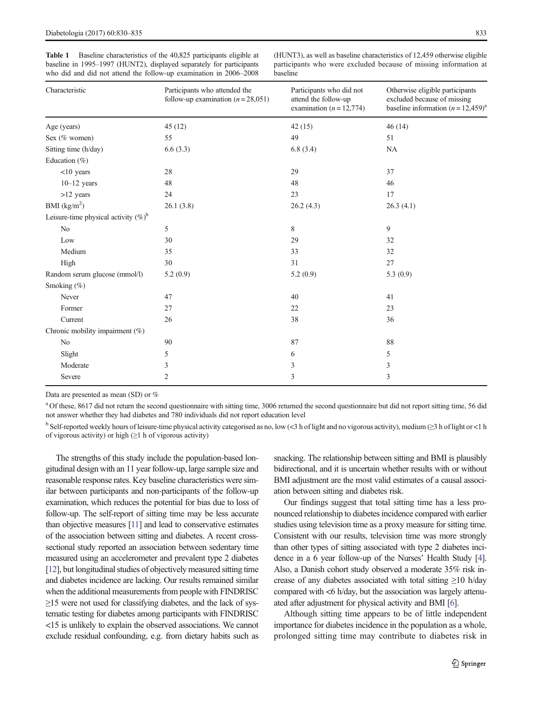<span id="page-3-0"></span>Table 1 Baseline characteristics of the 40,825 participants eligible at baseline in 1995–1997 (HUNT2), displayed separately for participants who did and did not attend the follow-up examination in 2006–2008 (HUNT3), as well as baseline characteristics of 12,459 otherwise eligible participants who were excluded because of missing information at baseline

| Characteristic                          | Participants who attended the<br>follow-up examination $(n=28,051)$ | Participants who did not<br>attend the follow-up<br>examination ( $n = 12,774$ ) | Otherwise eligible participants<br>excluded because of missing<br>baseline information $(n = 12,459)^{a}$ |
|-----------------------------------------|---------------------------------------------------------------------|----------------------------------------------------------------------------------|-----------------------------------------------------------------------------------------------------------|
| Age (years)                             | 45(12)                                                              | 42(15)                                                                           | 46(14)                                                                                                    |
| Sex (% women)                           | 55                                                                  | 49                                                                               | 51                                                                                                        |
| Sitting time (h/day)                    | 6.6(3.3)                                                            | 6.8(3.4)                                                                         | <b>NA</b>                                                                                                 |
| Education $(\%)$                        |                                                                     |                                                                                  |                                                                                                           |
| $<$ 10 years                            | 28                                                                  | 29                                                                               | 37                                                                                                        |
| $10-12$ years                           | 48                                                                  | 48                                                                               | 46                                                                                                        |
| $>12$ years                             | 24                                                                  | 23                                                                               | 17                                                                                                        |
| BMI $(kg/m2)$                           | 26.1(3.8)                                                           | 26.2(4.3)                                                                        | 26.3(4.1)                                                                                                 |
| Leisure-time physical activity $(\%)^b$ |                                                                     |                                                                                  |                                                                                                           |
| No                                      | 5                                                                   | 8                                                                                | 9                                                                                                         |
| Low                                     | 30                                                                  | 29                                                                               | 32                                                                                                        |
| Medium                                  | 35                                                                  | 33                                                                               | 32                                                                                                        |
| High                                    | 30                                                                  | 31                                                                               | 27                                                                                                        |
| Random serum glucose (mmol/l)           | 5.2(0.9)                                                            | 5.2(0.9)                                                                         | 5.3(0.9)                                                                                                  |
| Smoking (%)                             |                                                                     |                                                                                  |                                                                                                           |
| Never                                   | 47                                                                  | 40                                                                               | 41                                                                                                        |
| Former                                  | 27                                                                  | 22                                                                               | 23                                                                                                        |
| Current                                 | 26                                                                  | 38                                                                               | 36                                                                                                        |
| Chronic mobility impairment (%)         |                                                                     |                                                                                  |                                                                                                           |
| No                                      | 90                                                                  | 87                                                                               | 88                                                                                                        |
| Slight                                  | 5                                                                   | 6                                                                                | 5                                                                                                         |
| Moderate                                | 3                                                                   | 3                                                                                | 3                                                                                                         |
| Severe                                  | 2                                                                   | 3                                                                                | 3                                                                                                         |

Data are presented as mean (SD) or %

<sup>a</sup> Of these, 8617 did not return the second questionnaire with sitting time, 3006 returned the second questionnaire but did not report sitting time, 56 did not answer whether they had diabetes and 780 individuals did not report education level

<sup>b</sup> Self-reported weekly hours of leisure-time physical activity categorised as no, low (<3 h of light and no vigorous activity), medium (≥3 h of light or <1 h of vigorous activity) or high  $(\geq 1$  h of vigorous activity)

The strengths of this study include the population-based longitudinal design with an 11 year follow-up, large sample size and reasonable response rates. Key baseline characteristics were similar between participants and non-participants of the follow-up examination, which reduces the potential for bias due to loss of follow-up. The self-report of sitting time may be less accurate than objective measures [\[11](#page-5-0)] and lead to conservative estimates of the association between sitting and diabetes. A recent crosssectional study reported an association between sedentary time measured using an accelerometer and prevalent type 2 diabetes [\[12](#page-5-0)], but longitudinal studies of objectively measured sitting time and diabetes incidence are lacking. Our results remained similar when the additional measurements from people with FINDRISC  $\geq$ 15 were not used for classifying diabetes, and the lack of systematic testing for diabetes among participants with FINDRISC <15 is unlikely to explain the observed associations. We cannot exclude residual confounding, e.g. from dietary habits such as snacking. The relationship between sitting and BMI is plausibly bidirectional, and it is uncertain whether results with or without BMI adjustment are the most valid estimates of a causal association between sitting and diabetes risk.

Our findings suggest that total sitting time has a less pronounced relationship to diabetes incidence compared with earlier studies using television time as a proxy measure for sitting time. Consistent with our results, television time was more strongly than other types of sitting associated with type 2 diabetes incidence in a 6 year follow-up of the Nurses' Health Study [\[4\]](#page-5-0). Also, a Danish cohort study observed a moderate 35% risk increase of any diabetes associated with total sitting  $\geq$ 10 h/day compared with  $\lt 6$  h/day, but the association was largely attenuated after adjustment for physical activity and BMI [\[6\]](#page-5-0).

Although sitting time appears to be of little independent importance for diabetes incidence in the population as a whole, prolonged sitting time may contribute to diabetes risk in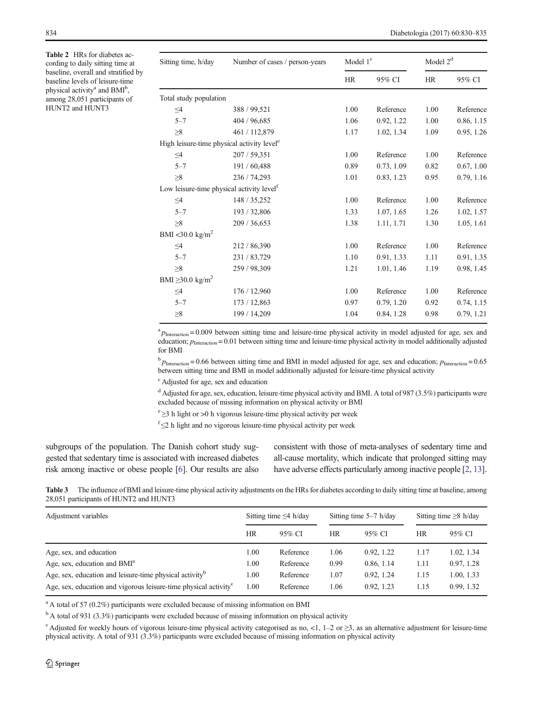<span id="page-4-0"></span>Table 2 HRs for diabetes according to daily sitting time at baseline, overall and stratified by baseline levels of leisure-time physical activity<sup>a</sup> and BMI<sup>b</sup>, among 28,051 participants of HUNT2 and HUNT3

| Sitting time, h/day                                    | Number of cases / person-years | Model $1c$ |            | Model $2d$ |            |
|--------------------------------------------------------|--------------------------------|------------|------------|------------|------------|
|                                                        |                                | HR         | 95% CI     |            | 95% CI     |
| Total study population                                 |                                |            |            |            |            |
| $\leq4$                                                | 388 / 99,521                   | 1.00       | Reference  | 1.00       | Reference  |
| $5 - 7$                                                | 404 / 96,685                   | 1.06       | 0.92, 1.22 | 1.00       | 0.86, 1.15 |
| $\geq 8$                                               | 461 / 112,879                  | 1.17       | 1.02, 1.34 | 1.09       | 0.95, 1.26 |
| High leisure-time physical activity level <sup>e</sup> |                                |            |            |            |            |
| $\leq\!\!4$                                            | 207 / 59,351                   | 1.00       | Reference  | 1.00       | Reference  |
| $5 - 7$                                                | 191 / 60,488                   | 0.89       | 0.73, 1.09 | 0.82       | 0.67, 1.00 |
| $\geq 8$                                               | 236 / 74,293                   | 1.01       | 0.83, 1.23 | 0.95       | 0.79, 1.16 |
| Low leisure-time physical activity level <sup>f</sup>  |                                |            |            |            |            |
| $\leq4$                                                | 148 / 35,252                   | 1.00       | Reference  | 1.00       | Reference  |
| $5 - 7$                                                | 193 / 32,806                   | 1.33       | 1.07, 1.65 | 1.26       | 1.02, 1.57 |
| $\geq 8$                                               | 209 / 36,653                   | 1.38       | 1.11, 1.71 | 1.30       | 1.05, 1.61 |
| BMI <30.0 kg/m <sup>2</sup>                            |                                |            |            |            |            |
| $\leq4$                                                | 212/86,390                     | 1.00       | Reference  | 1.00       | Reference  |
| $5 - 7$                                                | 231 / 83,729                   | 1.10       | 0.91, 1.33 | 1.11       | 0.91, 1.35 |
| ${\geq}8$                                              | 259 / 98,309                   | 1.21       | 1.01, 1.46 | 1.19       | 0.98, 1.45 |
| BMI $\geq$ 30.0 kg/m <sup>2</sup>                      |                                |            |            |            |            |
| $\leq\!\!4$                                            | 176 / 12,960                   | 1.00       | Reference  | 1.00       | Reference  |
| $5 - 7$                                                | 173 / 12,863                   | 0.97       | 0.79, 1.20 | 0.92       | 0.74, 1.15 |
| $\geq 8$                                               | 199 / 14,209                   | 1.04       | 0.84, 1.28 | 0.98       | 0.79, 1.21 |

 ${}^{a}P_{\text{Interaction}}$  = 0.009 between sitting time and leisure-time physical activity in model adjusted for age, sex and education;  $p_{\text{Interaction}} = 0.01$  between sitting time and leisure-time physical activity in model additionally adjusted for BMI

 $b_{\text{Plnteraction}} = 0.66$  between sitting time and BMI in model adjusted for age, sex and education;  $p_{\text{Interaction}} = 0.65$ between sitting time and BMI in model additionally adjusted for leisure-time physical activity

c Adjusted for age, sex and education

 $d$  Adjusted for age, sex, education, leisure-time physical activity and BMI. A total of 987 (3.5%) participants were excluded because of missing information on physical activity or BMI

e ≥3 h light or >0 h vigorous leisure-time physical activity per week

 $f \leq 2$  h light and no vigorous leisure-time physical activity per week

subgroups of the population. The Danish cohort study suggested that sedentary time is associated with increased diabetes risk among inactive or obese people [\[6](#page-5-0)]. Our results are also consistent with those of meta-analyses of sedentary time and all-cause mortality, which indicate that prolonged sitting may have adverse effects particularly among inactive people [[2,](#page-5-0) [13\]](#page-5-0).

Table 3 The influence of BMI and leisure-time physical activity adjustments on the HRs for diabetes according to daily sitting time at baseline, among 28,051 participants of HUNT2 and HUNT3

| Adjustment variables                                                         |      | Sitting time $\leq$ 4 h/day |      | Sitting time 5–7 h/day |           | Sitting time $\geq 8$ h/day |  |
|------------------------------------------------------------------------------|------|-----------------------------|------|------------------------|-----------|-----------------------------|--|
|                                                                              | HR   | 95% CI                      | HR   | 95% CI                 | <b>HR</b> | 95% CI                      |  |
| Age, sex, and education                                                      | 1.00 | Reference                   | 1.06 | 0.92, 1.22             | 1.17      | 1.02, 1.34                  |  |
| Age, sex, education and BMI <sup>a</sup>                                     |      | Reference                   | 0.99 | 0.86, 1.14             | 1.11      | 0.97, 1.28                  |  |
| Age, sex, education and leisure-time physical activity <sup>b</sup>          |      | Reference                   | 1.07 | 0.92, 1.24             | 1.15      | 1.00, 1.33                  |  |
| Age, sex, education and vigorous leisure-time physical activity <sup>c</sup> |      | Reference                   | 1.06 | 0.92, 1.23             | 1.15      | 0.99, 1.32                  |  |

<sup>a</sup> A total of 57 (0.2%) participants were excluded because of missing information on BMI

<sup>b</sup> A total of 931 (3.3%) participants were excluded because of missing information on physical activity

 $c$  Adjusted for weekly hours of vigorous leisure-time physical activity categorised as no, <1, 1–2 or  $\geq$ 3, as an alternative adjustment for leisure-time physical activity. A total of 931 (3.3%) participants were excluded because of missing information on physical activity